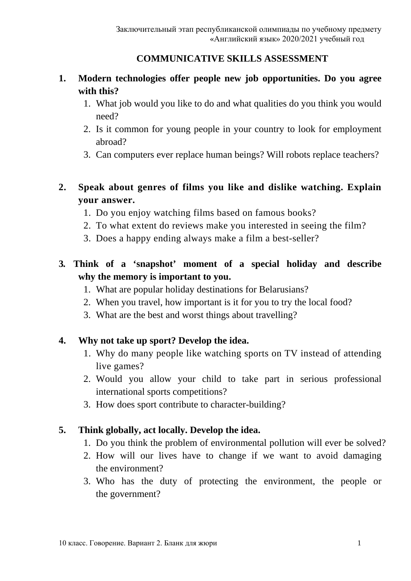#### **COMMUNICATIVE SKILLS ASSESSMENT**

## **1. Modern technologies offer people new job opportunities. Do you agree with this?**

- 1. What job would you like to do and what qualities do you think you would need?
- 2. Is it common for young people in your country to look for employment abroad?
- 3. Can computers ever replace human beings? Will robots replace teachers?

# **2. Speak about genres of films you like and dislike watching. Explain your answer.**

- 1. Do you enjoy watching films based on famous books?
- 2. To what extent do reviews make you interested in seeing the film?
- 3. Does a happy ending always make a film a best-seller?
- **3. Think of a 'snapshot' moment of a special holiday and describe why the memory is important to you.**
	- 1. What are popular holiday destinations for Belarusians?
	- 2. When you travel, how important is it for you to try the local food?
	- 3. What are the best and worst things about travelling?

### **4. Why not take up sport? Develop the idea.**

- 1. Why do many people like watching sports on TV instead of attending live games?
- 2. Would you allow your child to take part in serious professional international sports competitions?
- 3. How does sport contribute to character-building?

### **5. Think globally, act locally. Develop the idea.**

- 1. Do you think the problem of environmental pollution will ever be solved?
- 2. How will our lives have to change if we want to avoid damaging the environment?
- 3. Who has the duty of protecting the environment, the people or the government?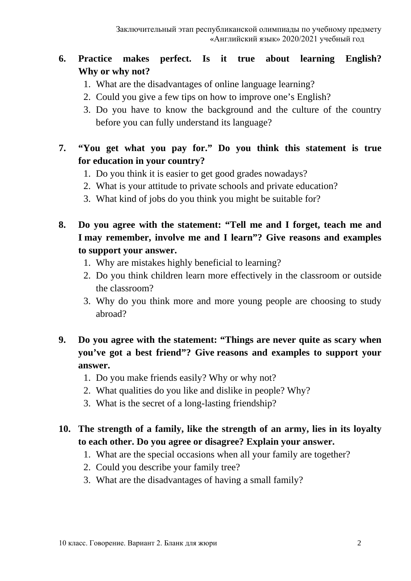## **6. Practice makes perfect. Is it true about learning English? Why or why not?**

- 1. What are the disadvantages of online language learning?
- 2. Could you give a few tips on how to improve one's English?
- 3. Do you have to know the background and the culture of the country before you can fully understand its language?

## **7. "You get what you pay for." Do you think this statement is true for education in your country?**

- 1. Do you think it is easier to get good grades nowadays?
- 2. What is your attitude to private schools and private education?
- 3. What kind of jobs do you think you might be suitable for?
- **8. Do you agree with the statement: "Tell me and I forget, teach me and I may remember, involve me and I learn"? Give reasons and examples to support your answer.**
	- 1. Why are mistakes highly beneficial to learning?
	- 2. Do you think children learn more effectively in the classroom or outside the classroom?
	- 3. Why do you think more and more young people are choosing to study abroad?

## **9. Do you agree with the statement: "Things are never quite as scary when you've got a best friend"? Give reasons and examples to support your answer.**

- 1. Do you make friends easily? Why or why not?
- 2. What qualities do you like and dislike in people? Why?
- 3. What is the secret of a long-lasting friendship?

#### **10. The strength of a family, like the strength of an army, lies in its loyalty to each other. Do you agree or disagree? Explain your answer.**

- 1. What are the special occasions when all your family are together?
- 2. Could you describe your family tree?
- 3. What are the disadvantages of having a small family?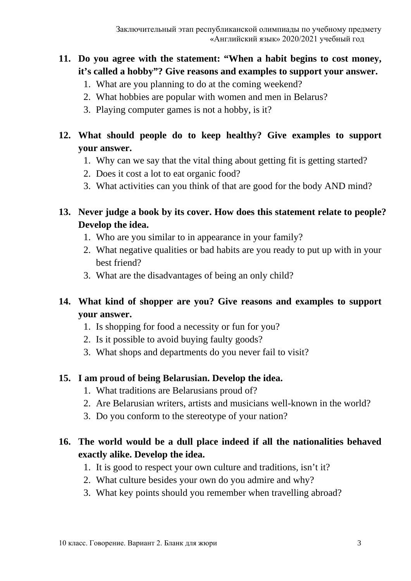## **11. Do you agree with the statement: "When a habit begins to cost money, it's called a hobby"? Give reasons and examples to support your answer.**

- 1. What are you planning to do at the coming weekend?
- 2. What hobbies are popular with women and men in Belarus?
- 3. Playing computer games is not a hobby, is it?

# **12. What should people do to keep healthy? Give examples to support your answer.**

- 1. Why can we say that the vital thing about getting fit is getting started?
- 2. Does it cost a lot to eat organic food?
- 3. What activities can you think of that are good for the body AND mind?

## **13. Never judge a book by its cover. How does this statement relate to people? Develop the idea.**

- 1. Who are you similar to in appearance in your family?
- 2. What negative qualities or bad habits are you ready to put up with in your best friend?
- 3. What are the disadvantages of being an only child?

## **14. What kind of shopper are you? Give reasons and examples to support your answer.**

- 1. Is shopping for food a necessity or fun for you?
- 2. Is it possible to avoid buying faulty goods?
- 3. What shops and departments do you never fail to visit?

### **15. I am proud of being Belarusian. Develop the idea.**

- 1. What traditions are Belarusians proud of?
- 2. Are Belarusian writers, artists and musicians well-known in the world?
- 3. Do you conform to the stereotype of your nation?

# **16. The world would be a dull place indeed if all the nationalities behaved exactly alike. Develop the idea.**

- 1. It is good to respect your own culture and traditions, isn't it?
- 2. What culture besides your own do you admire and why?
- 3. What key points should you remember when travelling abroad?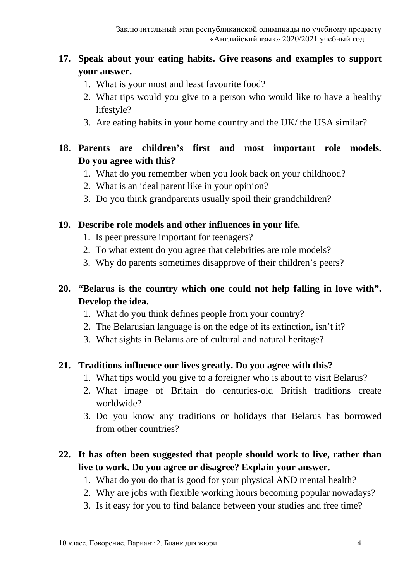## **17. Speak about your eating habits. Give reasons and examples to support your answer.**

- 1. What is your most and least favourite food?
- 2. What tips would you give to a person who would like to have a healthy lifestyle?
- 3. Are eating habits in your home country and the UK/ the USA similar?

### **18. Parents are children's first and most important role models. Do you agree with this?**

- 1. What do you remember when you look back on your childhood?
- 2. What is an ideal parent like in your opinion?
- 3. Do you think grandparents usually spoil their grandchildren?

#### **19. Describe role models and other influences in your life.**

- 1. Is peer pressure important for teenagers?
- 2. To what extent do you agree that celebrities are role models?
- 3. Why do parents sometimes disapprove of their children's peers?

### **20. "Belarus is the country which one could not help falling in love with". Develop the idea.**

- 1. What do you think defines people from your country?
- 2. The Belarusian language is on the edge of its extinction, isn't it?
- 3. What sights in Belarus are of cultural and natural heritage?

#### **21. Traditions influence our lives greatly. Do you agree with this?**

- 1. What tips would you give to a foreigner who is about to visit Belarus?
- 2. What image of Britain do centuries-old British traditions create worldwide?
- 3. Do you know any traditions or holidays that Belarus has borrowed from other countries?

#### **22. It has often been suggested that people should work to live, rather than live to work. Do you agree or disagree? Explain your answer.**

- 1. What do you do that is good for your physical AND mental health?
- 2. Why are jobs with flexible working hours becoming popular nowadays?
- 3. Is it easy for you to find balance between your studies and free time?